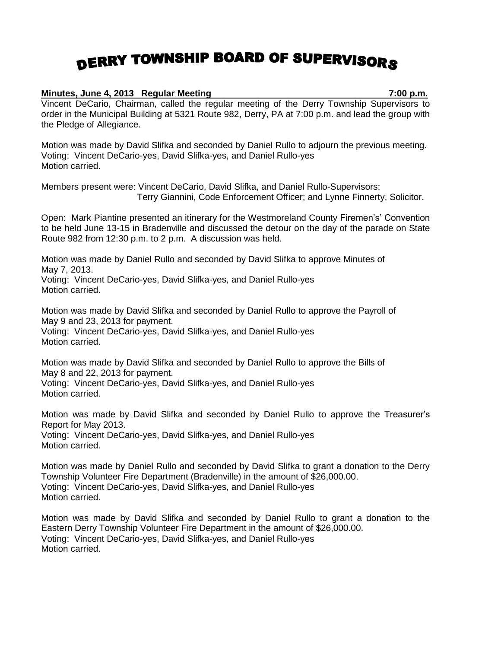## DERRY TOWNSHIP BOARD OF SUPERVISORS

## **Minutes, June 4, 2013 Regular Meeting 7:00 p.m.**

Vincent DeCario, Chairman, called the regular meeting of the Derry Township Supervisors to order in the Municipal Building at 5321 Route 982, Derry, PA at 7:00 p.m. and lead the group with the Pledge of Allegiance.

Motion was made by David Slifka and seconded by Daniel Rullo to adjourn the previous meeting. Voting: Vincent DeCario-yes, David Slifka-yes, and Daniel Rullo-yes Motion carried.

Members present were: Vincent DeCario, David Slifka, and Daniel Rullo-Supervisors; Terry Giannini, Code Enforcement Officer; and Lynne Finnerty, Solicitor.

Open: Mark Piantine presented an itinerary for the Westmoreland County Firemen's' Convention to be held June 13-15 in Bradenville and discussed the detour on the day of the parade on State Route 982 from 12:30 p.m. to 2 p.m. A discussion was held.

Motion was made by Daniel Rullo and seconded by David Slifka to approve Minutes of May 7, 2013. Voting: Vincent DeCario-yes, David Slifka-yes, and Daniel Rullo-yes Motion carried.

Motion was made by David Slifka and seconded by Daniel Rullo to approve the Payroll of May 9 and 23, 2013 for payment. Voting: Vincent DeCario-yes, David Slifka-yes, and Daniel Rullo-yes Motion carried.

Motion was made by David Slifka and seconded by Daniel Rullo to approve the Bills of May 8 and 22, 2013 for payment. Voting: Vincent DeCario-yes, David Slifka-yes, and Daniel Rullo-yes Motion carried.

Motion was made by David Slifka and seconded by Daniel Rullo to approve the Treasurer's Report for May 2013. Voting: Vincent DeCario-yes, David Slifka-yes, and Daniel Rullo-yes Motion carried.

Motion was made by Daniel Rullo and seconded by David Slifka to grant a donation to the Derry Township Volunteer Fire Department (Bradenville) in the amount of \$26,000.00. Voting: Vincent DeCario-yes, David Slifka-yes, and Daniel Rullo-yes Motion carried.

Motion was made by David Slifka and seconded by Daniel Rullo to grant a donation to the Eastern Derry Township Volunteer Fire Department in the amount of \$26,000.00. Voting: Vincent DeCario-yes, David Slifka-yes, and Daniel Rullo-yes Motion carried.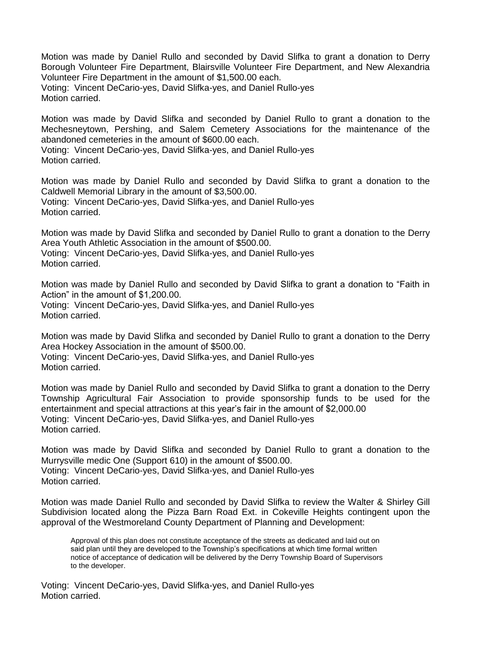Motion was made by Daniel Rullo and seconded by David Slifka to grant a donation to Derry Borough Volunteer Fire Department, Blairsville Volunteer Fire Department, and New Alexandria Volunteer Fire Department in the amount of \$1,500.00 each.

Voting: Vincent DeCario-yes, David Slifka-yes, and Daniel Rullo-yes Motion carried.

Motion was made by David Slifka and seconded by Daniel Rullo to grant a donation to the Mechesneytown, Pershing, and Salem Cemetery Associations for the maintenance of the abandoned cemeteries in the amount of \$600.00 each.

Voting: Vincent DeCario-yes, David Slifka-yes, and Daniel Rullo-yes Motion carried.

Motion was made by Daniel Rullo and seconded by David Slifka to grant a donation to the Caldwell Memorial Library in the amount of \$3,500.00. Voting: Vincent DeCario-yes, David Slifka-yes, and Daniel Rullo-yes Motion carried.

Motion was made by David Slifka and seconded by Daniel Rullo to grant a donation to the Derry Area Youth Athletic Association in the amount of \$500.00.

Voting: Vincent DeCario-yes, David Slifka-yes, and Daniel Rullo-yes Motion carried.

Motion was made by Daniel Rullo and seconded by David Slifka to grant a donation to "Faith in Action" in the amount of \$1,200.00. Voting: Vincent DeCario-yes, David Slifka-yes, and Daniel Rullo-yes Motion carried.

Motion was made by David Slifka and seconded by Daniel Rullo to grant a donation to the Derry Area Hockey Association in the amount of \$500.00. Voting: Vincent DeCario-yes, David Slifka-yes, and Daniel Rullo-yes Motion carried.

Motion was made by Daniel Rullo and seconded by David Slifka to grant a donation to the Derry Township Agricultural Fair Association to provide sponsorship funds to be used for the entertainment and special attractions at this year's fair in the amount of \$2,000.00 Voting: Vincent DeCario-yes, David Slifka-yes, and Daniel Rullo-yes Motion carried.

Motion was made by David Slifka and seconded by Daniel Rullo to grant a donation to the Murrysville medic One (Support 610) in the amount of \$500.00. Voting: Vincent DeCario-yes, David Slifka-yes, and Daniel Rullo-yes Motion carried.

Motion was made Daniel Rullo and seconded by David Slifka to review the Walter & Shirley Gill Subdivision located along the Pizza Barn Road Ext. in Cokeville Heights contingent upon the approval of the Westmoreland County Department of Planning and Development:

Approval of this plan does not constitute acceptance of the streets as dedicated and laid out on said plan until they are developed to the Township's specifications at which time formal written notice of acceptance of dedication will be delivered by the Derry Township Board of Supervisors to the developer.

Voting: Vincent DeCario-yes, David Slifka-yes, and Daniel Rullo-yes Motion carried.